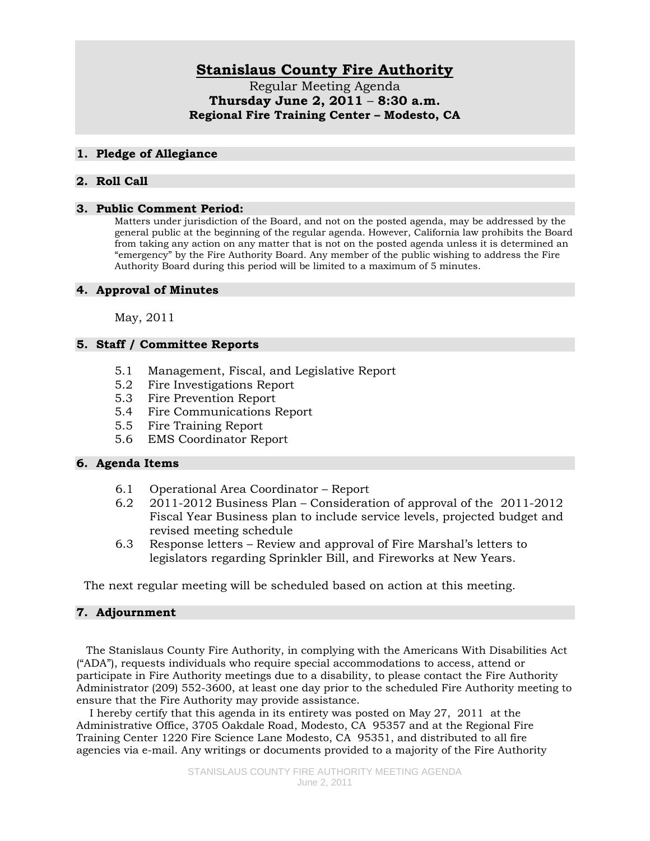# **Stanislaus County Fire Authority**

Regular Meeting Agenda **Thursday June 2, 2011** – **8:30 a.m. Regional Fire Training Center – Modesto, CA** 

#### **1. Pledge of Allegiance**

# **2. Roll Call**

#### **3. Public Comment Period:**

Matters under jurisdiction of the Board, and not on the posted agenda, may be addressed by the general public at the beginning of the regular agenda. However, California law prohibits the Board from taking any action on any matter that is not on the posted agenda unless it is determined an "emergency" by the Fire Authority Board. Any member of the public wishing to address the Fire Authority Board during this period will be limited to a maximum of 5 minutes.

#### **4. Approval of Minutes**

May, 2011

# **5. Staff / Committee Reports**

- 5.1 Management, Fiscal, and Legislative Report
- 5.2 Fire Investigations Report
- 5.3 Fire Prevention Report
- 5.4 Fire Communications Report
- 5.5 Fire Training Report
- 5.6 EMS Coordinator Report

## **6. Agenda Items**

- 6.1 Operational Area Coordinator Report
- 6.2 2011-2012 Business Plan Consideration of approval of the 2011-2012 Fiscal Year Business plan to include service levels, projected budget and revised meeting schedule
- 6.3 Response letters Review and approval of Fire Marshal's letters to legislators regarding Sprinkler Bill, and Fireworks at New Years.

The next regular meeting will be scheduled based on action at this meeting.

## **7. Adjournment**

 The Stanislaus County Fire Authority, in complying with the Americans With Disabilities Act ("ADA"), requests individuals who require special accommodations to access, attend or participate in Fire Authority meetings due to a disability, to please contact the Fire Authority Administrator (209) 552-3600, at least one day prior to the scheduled Fire Authority meeting to ensure that the Fire Authority may provide assistance.

 I hereby certify that this agenda in its entirety was posted on May 27, 2011 at the Administrative Office, 3705 Oakdale Road, Modesto, CA 95357 and at the Regional Fire Training Center 1220 Fire Science Lane Modesto, CA 95351, and distributed to all fire agencies via e-mail. Any writings or documents provided to a majority of the Fire Authority